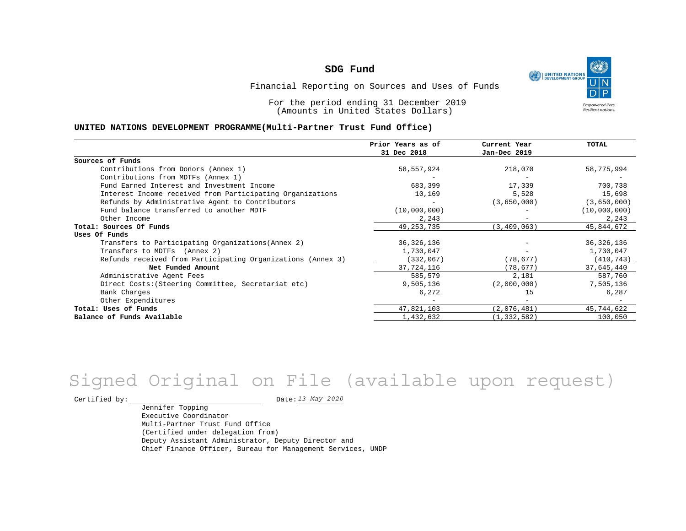

Financial Reporting on Sources and Uses of Funds

For the period ending 31 December 2019 (Amounts in United States Dollars)

#### **UNITED NATIONS DEVELOPMENT PROGRAMME(Multi-Partner Trust Fund Office)**

|                                                             | Prior Years as of | Current Year  | <b>TOTAL</b> |
|-------------------------------------------------------------|-------------------|---------------|--------------|
|                                                             | 31 Dec 2018       | Jan-Dec 2019  |              |
| Sources of Funds                                            |                   |               |              |
| Contributions from Donors (Annex 1)                         | 58,557,924        | 218,070       | 58,775,994   |
| Contributions from MDTFs (Annex 1)                          |                   |               |              |
| Fund Earned Interest and Investment Income                  | 683,399           | 17,339        | 700,738      |
| Interest Income received from Participating Organizations   | 10,169            | 5,528         | 15,698       |
| Refunds by Administrative Agent to Contributors             |                   | (3,650,000)   | (3,650,000)  |
| Fund balance transferred to another MDTF                    | (10,000,000)      |               | (10,000,000) |
| Other Income                                                | 2,243             |               | 2,243        |
| Total: Sources Of Funds                                     | 49, 253, 735      | (3, 409, 063) | 45,844,672   |
| Uses Of Funds                                               |                   |               |              |
| Transfers to Participating Organizations (Annex 2)          | 36, 326, 136      |               | 36, 326, 136 |
| Transfers to MDTFs (Annex 2)                                | 1,730,047         |               | 1,730,047    |
| Refunds received from Participating Organizations (Annex 3) | (332, 067)        | (78, 677)     | (410, 743)   |
| Net Funded Amount                                           | 37,724,116        | (78, 677)     | 37,645,440   |
| Administrative Agent Fees                                   | 585,579           | 2,181         | 587,760      |
| Direct Costs: (Steering Committee, Secretariat etc)         | 9,505,136         | (2,000,000)   | 7,505,136    |
| Bank Charges                                                | 6,272             | 15            | 6,287        |
| Other Expenditures                                          |                   |               |              |
| Total: Uses of Funds                                        | 47,821,103        | (2,076,481)   | 45,744,622   |
| Balance of Funds Available                                  | 1,432,632         | (1, 332, 582) | 100,050      |

# *13 May 2020* Signed Original on File (available upon request)

Certified by:  $\frac{D \text{ at } 2020}{D \text{ at } 2020}$ 

Jennifer Topping Executive Coordinator Multi-Partner Trust Fund Office (Certified under delegation from) Deputy Assistant Administrator, Deputy Director and Chief Finance Officer, Bureau for Management Services, UNDP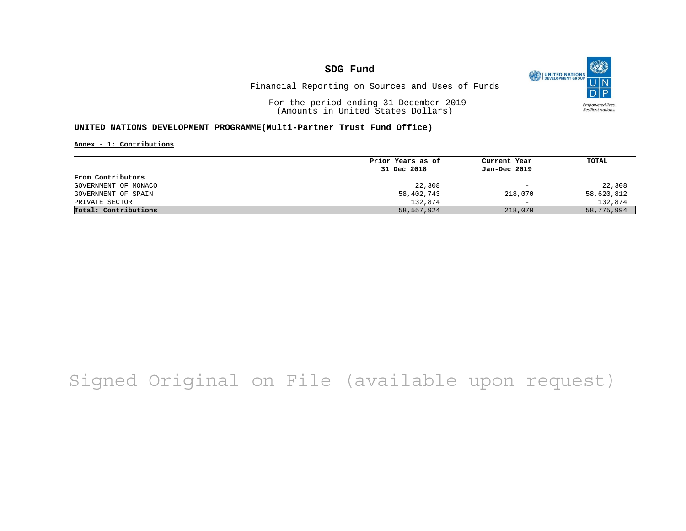O UNITED NATIONS **Empowered lives** Resilient nations.

Financial Reporting on Sources and Uses of Funds

For the period ending 31 December 2019 (Amounts in United States Dollars)

#### **UNITED NATIONS DEVELOPMENT PROGRAMME(Multi-Partner Trust Fund Office)**

**Annex - 1: Contributions**

|                      | Prior Years as of | Current Year             | TOTAL      |
|----------------------|-------------------|--------------------------|------------|
|                      | 31 Dec 2018       | Jan-Dec 2019             |            |
| From Contributors    |                   |                          |            |
| GOVERNMENT OF MONACO | 22,308            | $\overline{\phantom{m}}$ | 22,308     |
| GOVERNMENT OF SPAIN  | 58,402,743        | 218,070                  | 58,620,812 |
| PRIVATE SECTOR       | 132,874           | $\overline{\phantom{0}}$ | 132,874    |
| Total: Contributions | 58,557,924        | 218,070                  | 58,775,994 |

# Signed Original on File (available upon request)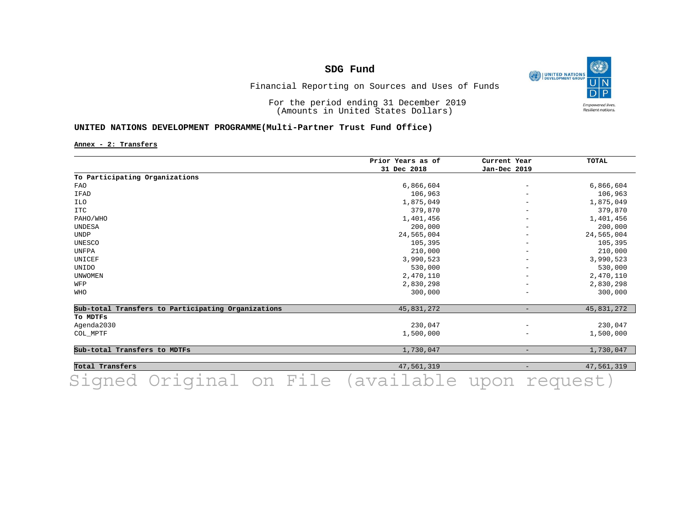O UNITED NATIONS **Empowered lives** Resilient nations.

## Financial Reporting on Sources and Uses of Funds

For the period ending 31 December 2019 (Amounts in United States Dollars)

#### **UNITED NATIONS DEVELOPMENT PROGRAMME(Multi-Partner Trust Fund Office)**

**Annex - 2: Transfers**

|                                                    | Prior Years as of<br>31 Dec 2018 | Current Year<br>Jan-Dec 2019 | <b>TOTAL</b> |
|----------------------------------------------------|----------------------------------|------------------------------|--------------|
|                                                    |                                  |                              |              |
| To Participating Organizations                     |                                  |                              |              |
| <b>FAO</b>                                         | 6,866,604                        | $\overline{\phantom{a}}$     | 6,866,604    |
| IFAD                                               | 106,963                          |                              | 106,963      |
| ILO                                                | 1,875,049                        | $\qquad \qquad -$            | 1,875,049    |
| <b>ITC</b>                                         | 379,870                          |                              | 379,870      |
| PAHO/WHO                                           | 1,401,456                        |                              | 1,401,456    |
| UNDESA                                             | 200,000                          |                              | 200,000      |
| <b>UNDP</b>                                        | 24,565,004                       |                              | 24,565,004   |
| UNESCO                                             | 105,395                          | $\qquad \qquad -$            | 105,395      |
| UNFPA                                              | 210,000                          |                              | 210,000      |
| UNICEF                                             | 3,990,523                        | $\overline{\phantom{m}}$     | 3,990,523    |
| UNIDO                                              | 530,000                          |                              | 530,000      |
| <b>UNWOMEN</b>                                     | 2,470,110                        |                              | 2,470,110    |
| WFP                                                | 2,830,298                        | $\qquad \qquad -$            | 2,830,298    |
| WHO                                                | 300,000                          |                              | 300,000      |
| Sub-total Transfers to Participating Organizations | 45,831,272                       | $\overline{\phantom{0}}$     | 45,831,272   |
| To MDTFs                                           |                                  |                              |              |
| Agenda2030                                         | 230,047                          | $\overline{\phantom{m}}$     | 230,047      |
| COL_MPTF                                           | 1,500,000                        |                              | 1,500,000    |
| Sub-total Transfers to MDTFs                       | 1,730,047                        | $\qquad \qquad -$            | 1,730,047    |
| Total Transfers                                    | 47,561,319                       | $\qquad \qquad -$            | 47,561,319   |
|                                                    |                                  |                              |              |

**Total Transfers** 47,561,319 - 47,561,319 Signed Original on File (available upon request)